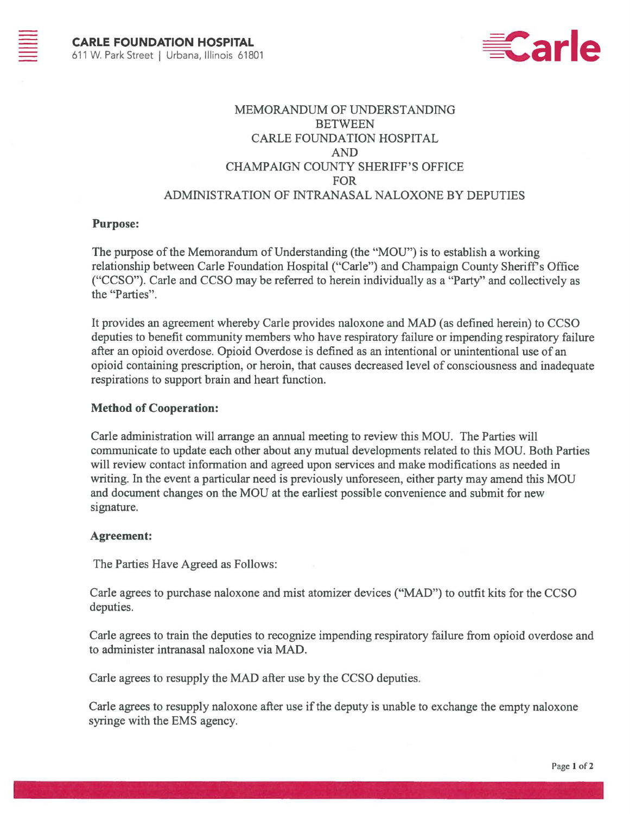

# MEMORANDUM OF UNDERSTANDING **BETWEEN** CARLE FOUNDATION HOSPITAL AND CHAMPAIGN COUNTY SHERIFF'S OFFICE FOR ADMINISTRATION OF INTRANASAL NALOXONE BY DEPUTIES

### **Purpose:**

The purpose of the Memorandum of Understanding (the "MOU") is to establish a working relationship between Carle Foundation Hospital ("Carle") and Champaign County Sheriff's Office ("CCSO"). Carle and CCSO may be referred to herein individually as a "Party" and collectively as the "Parties".

It provides an agreement whereby Carle provides naloxone and MAD (as defined herein) to CCSO deputies to benefit community members who have respiratory failure or impending respiratory failure after an opioid overdose. Opioid Overdose is defined as an intentional or unintentional use of an opioid containing prescription, or heroin, that causes decreased level of consciousness and inadequate respirations to support brain and heart function.

#### **Method of Cooperation:**

Carle administration will arrange an annual meeting to review this MOU. The Parties will communicate to update each other about any mutual developments related to this MOU. Both Parties will review contact information and agreed upon services and make modifications as needed in writing. In the event a particular need is previously unforeseen, either party may amend this MOU and document changes on the MOU at the earliest possible convenience and submit for new signature.

#### **Agreement:**

The Parties Have Agreed as Follows:

Carle agrees to purchase naloxone and mist atomizer devices ("MAD") to outfit kits for the CCSO deputies.

Carle agrees to train the deputies to recognize impending respiratory failure from opioid overdose and to administer intranasal naloxone via MAD.

Carle agrees to resupply the MAD after use by the CCSO deputies.

Carle agrees to resupply naloxone after use if the deputy is unable to exchange the empty naloxone syringe with the EMS agency.